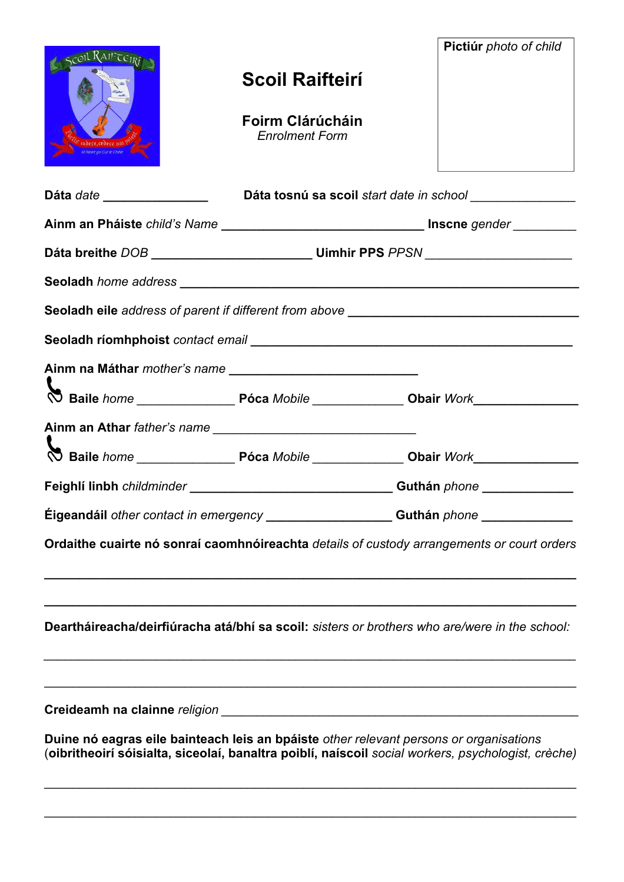| SCOIL RAIFTEIRE                                                                               |                                           | Pictiúr photo of child                                                                              |
|-----------------------------------------------------------------------------------------------|-------------------------------------------|-----------------------------------------------------------------------------------------------------|
|                                                                                               | <b>Scoil Raifteirí</b>                    |                                                                                                     |
|                                                                                               | Foirm Clárúcháin<br><b>Enrolment Form</b> |                                                                                                     |
| Dáta date ________________                                                                    |                                           | Dáta tosnú sa scoil start date in school ________________                                           |
|                                                                                               |                                           |                                                                                                     |
|                                                                                               |                                           |                                                                                                     |
|                                                                                               |                                           |                                                                                                     |
| Seoladh eile address of parent if different from above __________________________             |                                           |                                                                                                     |
|                                                                                               |                                           |                                                                                                     |
|                                                                                               |                                           |                                                                                                     |
|                                                                                               |                                           |                                                                                                     |
| Ainm an Athar father's name                                                                   |                                           |                                                                                                     |
|                                                                                               |                                           |                                                                                                     |
|                                                                                               |                                           |                                                                                                     |
|                                                                                               |                                           | Eigeandáil other contact in emergency _________________________Guthán phone _______________________ |
| Ordaithe cuairte nó sonraí caomhnóireachta details of custody arrangements or court orders    |                                           |                                                                                                     |
|                                                                                               |                                           |                                                                                                     |
| Deartháireacha/deirfiúracha atá/bhí sa scoil: sisters or brothers who are/were in the school: |                                           |                                                                                                     |
|                                                                                               |                                           |                                                                                                     |
|                                                                                               |                                           | Duine nó eagras eile bainteach leis an bpáiste other relevant persons or organisations              |
|                                                                                               |                                           | (oibritheoirí sóisialta, siceolaí, banaltra poiblí, naíscoil social workers, psychologist, crèche)  |
|                                                                                               |                                           |                                                                                                     |